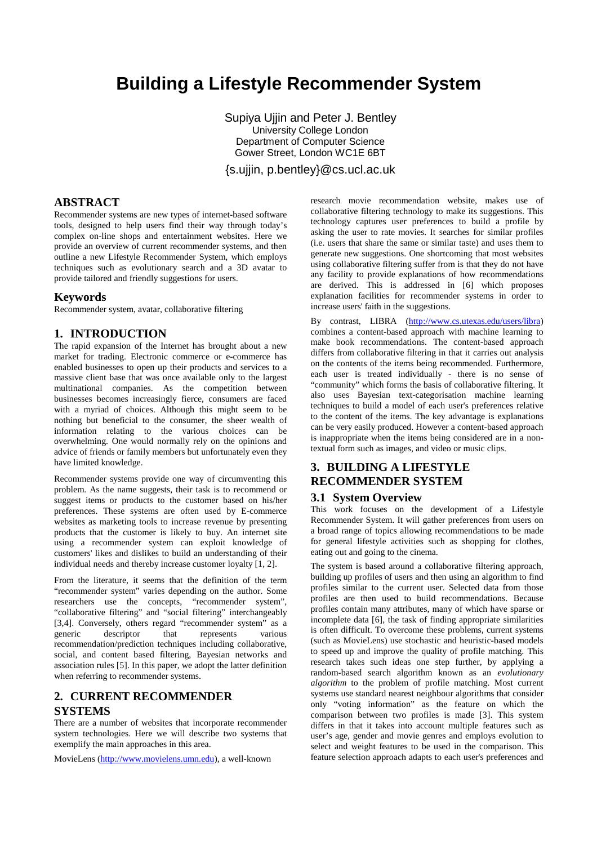# **Building a Lifestyle Recommender System**

Supiya Ujjin and Peter J. Bentley University College London Department of Computer Science Gower Street, London WC1E 6BT

{s.ujjin, p.bentley}@cs.ucl.ac.uk

# **ABSTRACT**

Recommender systems are new types of internet-based software tools, designed to help users find their way through today's complex on-line shops and entertainment websites. Here we provide an overview of current recommender systems, and then outline a new Lifestyle Recommender System, which employs techniques such as evolutionary search and a 3D avatar to provide tailored and friendly suggestions for users.

#### **Keywords**

Recommender system, avatar, collaborative filtering

# **1. INTRODUCTION**

The rapid expansion of the Internet has brought about a new market for trading. Electronic commerce or e-commerce has enabled businesses to open up their products and services to a massive client base that was once available only to the largest multinational companies. As the competition between businesses becomes increasingly fierce, consumers are faced with a myriad of choices. Although this might seem to be nothing but beneficial to the consumer, the sheer wealth of information relating to the various choices can be overwhelming. One would normally rely on the opinions and advice of friends or family members but unfortunately even they have limited knowledge.

Recommender systems provide one way of circumventing this problem. As the name suggests, their task is to recommend or suggest items or products to the customer based on his/her preferences. These systems are often used by E-commerce websites as marketing tools to increase revenue by presenting products that the customer is likely to buy. An internet site using a recommender system can exploit knowledge of customers' likes and dislikes to build an understanding of their individual needs and thereby increase customer loyalty [1, 2].

From the literature, it seems that the definition of the term "recommender system" varies depending on the author. Some researchers use the concepts, "recommender system", "collaborative filtering" and "social filtering" interchangeably [3,4]. Conversely, others regard "recommender system" as a generic descriptor that represents various recommendation/prediction techniques including collaborative, social, and content based filtering, Bayesian networks and association rules [5]. In this paper, we adopt the latter definition when referring to recommender systems.

# **2. CURRENT RECOMMENDER SYSTEMS**

There are a number of websites that incorporate recommender system technologies. Here we will describe two systems that exemplify the main approaches in this area.

MovieLens [\(http://www.movielens.umn.edu\)](http://www.movielens.umn.edu/), a well-known

research movie recommendation website, makes use of collaborative filtering technology to make its suggestions. This technology captures user preferences to build a profile by asking the user to rate movies. It searches for similar profiles (i.e. users that share the same or similar taste) and uses them to generate new suggestions. One shortcoming that most websites using collaborative filtering suffer from is that they do not have any facility to provide explanations of how recommendations are derived. This is addressed in [6] which proposes explanation facilities for recommender systems in order to increase users' faith in the suggestions.

By contrast, LIBRA [\(http://www.cs.utexas.edu/users/libra\)](http://www.cs.utexas.edu/users/libra) combines a content-based approach with machine learning to make book recommendations. The content-based approach differs from collaborative filtering in that it carries out analysis on the contents of the items being recommended. Furthermore, each user is treated individually - there is no sense of "community" which forms the basis of collaborative filtering. It also uses Bayesian text-categorisation machine learning techniques to build a model of each user's preferences relative to the content of the items. The key advantage is explanations can be very easily produced. However a content-based approach is inappropriate when the items being considered are in a nontextual form such as images, and video or music clips.

# **3. BUILDING A LIFESTYLE RECOMMENDER SYSTEM**

#### **3.1 System Overview**

This work focuses on the development of a Lifestyle Recommender System. It will gather preferences from users on a broad range of topics allowing recommendations to be made for general lifestyle activities such as shopping for clothes, eating out and going to the cinema.

The system is based around a collaborative filtering approach, building up profiles of users and then using an algorithm to find profiles similar to the current user. Selected data from those profiles are then used to build recommendations. Because profiles contain many attributes, many of which have sparse or incomplete data [6], the task of finding appropriate similarities is often difficult. To overcome these problems, current systems (such as MovieLens) use stochastic and heuristic-based models to speed up and improve the quality of profile matching. This research takes such ideas one step further, by applying a random-based search algorithm known as an *evolutionary algorithm* to the problem of profile matching. Most current systems use standard nearest neighbour algorithms that consider only "voting information" as the feature on which the comparison between two profiles is made [3]. This system differs in that it takes into account multiple features such as user's age, gender and movie genres and employs evolution to select and weight features to be used in the comparison. This feature selection approach adapts to each user's preferences and